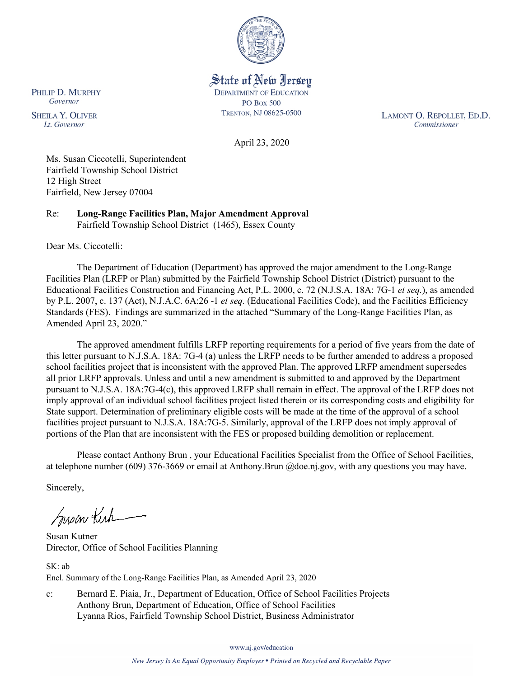

State of New Jersey **DEPARTMENT OF EDUCATION PO Box 500** TRENTON, NJ 08625-0500

LAMONT O. REPOLLET, ED.D. Commissioner

April 23, 2020

Ms. Susan Ciccotelli, Superintendent Fairfield Township School District 12 High Street Fairfield, New Jersey 07004

Re: **Long-Range Facilities Plan, Major Amendment Approval** Fairfield Township School District (1465), Essex County

Dear Ms. Ciccotelli:

The Department of Education (Department) has approved the major amendment to the Long-Range Facilities Plan (LRFP or Plan) submitted by the Fairfield Township School District (District) pursuant to the Educational Facilities Construction and Financing Act, P.L. 2000, c. 72 (N.J.S.A. 18A: 7G-1 *et seq.*), as amended by P.L. 2007, c. 137 (Act), N.J.A.C. 6A:26 -1 *et seq.* (Educational Facilities Code), and the Facilities Efficiency Standards (FES). Findings are summarized in the attached "Summary of the Long-Range Facilities Plan, as Amended April 23, 2020."

The approved amendment fulfills LRFP reporting requirements for a period of five years from the date of this letter pursuant to N.J.S.A. 18A: 7G-4 (a) unless the LRFP needs to be further amended to address a proposed school facilities project that is inconsistent with the approved Plan. The approved LRFP amendment supersedes all prior LRFP approvals. Unless and until a new amendment is submitted to and approved by the Department pursuant to N.J.S.A. 18A:7G-4(c), this approved LRFP shall remain in effect. The approval of the LRFP does not imply approval of an individual school facilities project listed therein or its corresponding costs and eligibility for State support. Determination of preliminary eligible costs will be made at the time of the approval of a school facilities project pursuant to N.J.S.A. 18A:7G-5. Similarly, approval of the LRFP does not imply approval of portions of the Plan that are inconsistent with the FES or proposed building demolition or replacement.

Please contact Anthony Brun , your Educational Facilities Specialist from the Office of School Facilities, at telephone number (609) 376-3669 or email at Anthony.Brun @doe.nj.gov, with any questions you may have.

Sincerely,

Susan Kich

Susan Kutner Director, Office of School Facilities Planning

SK: ab Encl. Summary of the Long-Range Facilities Plan, as Amended April 23, 2020

c: Bernard E. Piaia, Jr., Department of Education, Office of School Facilities Projects Anthony Brun, Department of Education, Office of School Facilities Lyanna Rios, Fairfield Township School District, Business Administrator

www.nj.gov/education

PHILIP D. MURPHY Governor

**SHEILA Y. OLIVER** Lt. Governor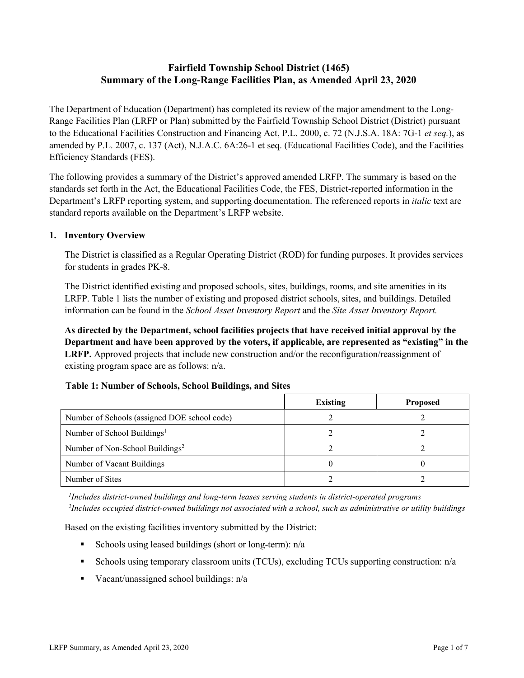# **Fairfield Township School District (1465) Summary of the Long-Range Facilities Plan, as Amended April 23, 2020**

The Department of Education (Department) has completed its review of the major amendment to the Long-Range Facilities Plan (LRFP or Plan) submitted by the Fairfield Township School District (District) pursuant to the Educational Facilities Construction and Financing Act, P.L. 2000, c. 72 (N.J.S.A. 18A: 7G-1 *et seq.*), as amended by P.L. 2007, c. 137 (Act), N.J.A.C. 6A:26-1 et seq. (Educational Facilities Code), and the Facilities Efficiency Standards (FES).

The following provides a summary of the District's approved amended LRFP. The summary is based on the standards set forth in the Act, the Educational Facilities Code, the FES, District-reported information in the Department's LRFP reporting system, and supporting documentation. The referenced reports in *italic* text are standard reports available on the Department's LRFP website.

#### **1. Inventory Overview**

The District is classified as a Regular Operating District (ROD) for funding purposes. It provides services for students in grades PK-8.

The District identified existing and proposed schools, sites, buildings, rooms, and site amenities in its LRFP. Table 1 lists the number of existing and proposed district schools, sites, and buildings. Detailed information can be found in the *School Asset Inventory Report* and the *Site Asset Inventory Report.*

**As directed by the Department, school facilities projects that have received initial approval by the Department and have been approved by the voters, if applicable, are represented as "existing" in the LRFP.** Approved projects that include new construction and/or the reconfiguration/reassignment of existing program space are as follows: n/a.

|  |  | Table 1: Number of Schools, School Buildings, and Sites |  |
|--|--|---------------------------------------------------------|--|
|--|--|---------------------------------------------------------|--|

|                                              | <b>Existing</b> | <b>Proposed</b> |
|----------------------------------------------|-----------------|-----------------|
| Number of Schools (assigned DOE school code) |                 |                 |
| Number of School Buildings <sup>1</sup>      |                 |                 |
| Number of Non-School Buildings <sup>2</sup>  |                 |                 |
| Number of Vacant Buildings                   |                 |                 |
| Number of Sites                              |                 |                 |

*1 Includes district-owned buildings and long-term leases serving students in district-operated programs 2 Includes occupied district-owned buildings not associated with a school, such as administrative or utility buildings*

Based on the existing facilities inventory submitted by the District:

- Schools using leased buildings (short or long-term):  $n/a$
- Schools using temporary classroom units (TCUs), excluding TCUs supporting construction: n/a
- Vacant/unassigned school buildings:  $n/a$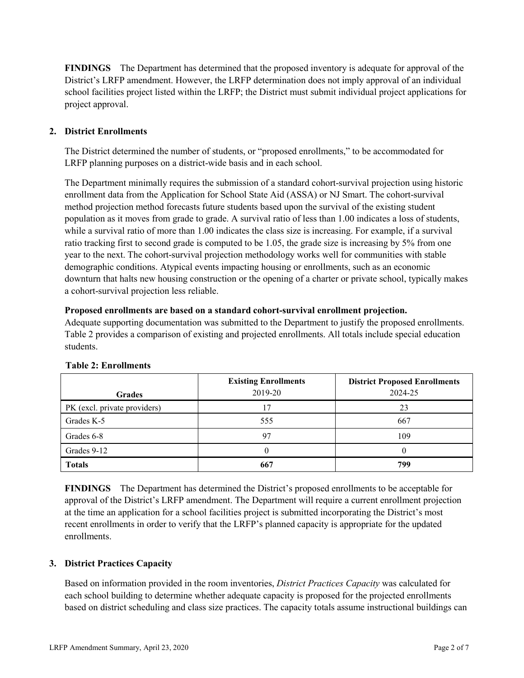**FINDINGS** The Department has determined that the proposed inventory is adequate for approval of the District's LRFP amendment. However, the LRFP determination does not imply approval of an individual school facilities project listed within the LRFP; the District must submit individual project applications for project approval.

# **2. District Enrollments**

The District determined the number of students, or "proposed enrollments," to be accommodated for LRFP planning purposes on a district-wide basis and in each school.

The Department minimally requires the submission of a standard cohort-survival projection using historic enrollment data from the Application for School State Aid (ASSA) or NJ Smart. The cohort-survival method projection method forecasts future students based upon the survival of the existing student population as it moves from grade to grade. A survival ratio of less than 1.00 indicates a loss of students, while a survival ratio of more than 1.00 indicates the class size is increasing. For example, if a survival ratio tracking first to second grade is computed to be 1.05, the grade size is increasing by 5% from one year to the next. The cohort-survival projection methodology works well for communities with stable demographic conditions. Atypical events impacting housing or enrollments, such as an economic downturn that halts new housing construction or the opening of a charter or private school, typically makes a cohort-survival projection less reliable.

#### **Proposed enrollments are based on a standard cohort-survival enrollment projection.**

Adequate supporting documentation was submitted to the Department to justify the proposed enrollments. Table 2 provides a comparison of existing and projected enrollments. All totals include special education students.

|                              | <b>Existing Enrollments</b> | <b>District Proposed Enrollments</b> |
|------------------------------|-----------------------------|--------------------------------------|
| <b>Grades</b>                | 2019-20                     | 2024-25                              |
| PK (excl. private providers) |                             | 23                                   |
| Grades K-5                   | 555                         | 667                                  |
| Grades 6-8                   | 97                          | 109                                  |
| Grades 9-12                  |                             |                                      |
| <b>Totals</b>                | 667                         | 799                                  |

# **Table 2: Enrollments**

**FINDINGS** The Department has determined the District's proposed enrollments to be acceptable for approval of the District's LRFP amendment. The Department will require a current enrollment projection at the time an application for a school facilities project is submitted incorporating the District's most recent enrollments in order to verify that the LRFP's planned capacity is appropriate for the updated enrollments.

# **3. District Practices Capacity**

Based on information provided in the room inventories, *District Practices Capacity* was calculated for each school building to determine whether adequate capacity is proposed for the projected enrollments based on district scheduling and class size practices. The capacity totals assume instructional buildings can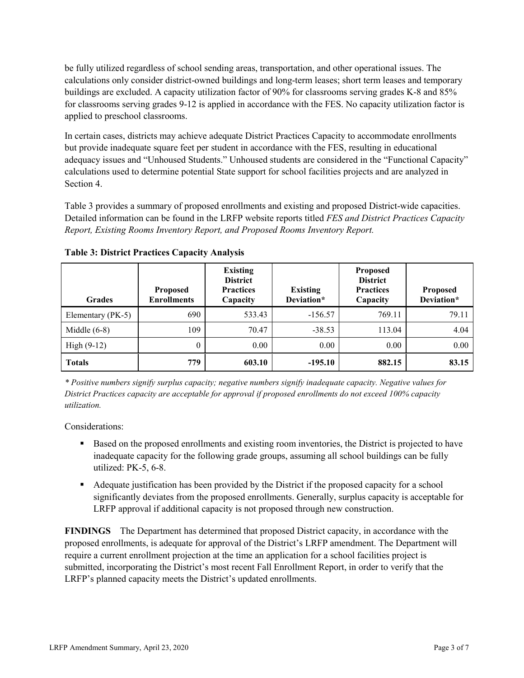be fully utilized regardless of school sending areas, transportation, and other operational issues. The calculations only consider district-owned buildings and long-term leases; short term leases and temporary buildings are excluded. A capacity utilization factor of 90% for classrooms serving grades K-8 and 85% for classrooms serving grades 9-12 is applied in accordance with the FES. No capacity utilization factor is applied to preschool classrooms.

In certain cases, districts may achieve adequate District Practices Capacity to accommodate enrollments but provide inadequate square feet per student in accordance with the FES, resulting in educational adequacy issues and "Unhoused Students." Unhoused students are considered in the "Functional Capacity" calculations used to determine potential State support for school facilities projects and are analyzed in Section 4.

Table 3 provides a summary of proposed enrollments and existing and proposed District-wide capacities. Detailed information can be found in the LRFP website reports titled *FES and District Practices Capacity Report, Existing Rooms Inventory Report, and Proposed Rooms Inventory Report.*

| <b>Grades</b>     | <b>Proposed</b><br><b>Enrollments</b> | <b>Existing</b><br><b>District</b><br><b>Practices</b><br>Capacity | <b>Existing</b><br>Deviation* | <b>Proposed</b><br><b>District</b><br><b>Practices</b><br>Capacity | Proposed<br>Deviation* |
|-------------------|---------------------------------------|--------------------------------------------------------------------|-------------------------------|--------------------------------------------------------------------|------------------------|
| Elementary (PK-5) | 690                                   | 533.43                                                             | $-156.57$                     | 769.11                                                             | 79.11                  |
| Middle $(6-8)$    | 109                                   | 70.47                                                              | $-38.53$                      | 113.04                                                             | 4.04                   |
| High $(9-12)$     | $\theta$                              | 0.00                                                               | 0.00                          | 0.00                                                               | 0.00                   |
| <b>Totals</b>     | 779                                   | 603.10                                                             | $-195.10$                     | 882.15                                                             | 83.15                  |

**Table 3: District Practices Capacity Analysis**

*\* Positive numbers signify surplus capacity; negative numbers signify inadequate capacity. Negative values for District Practices capacity are acceptable for approval if proposed enrollments do not exceed 100% capacity utilization.*

Considerations:

- **Based on the proposed enrollments and existing room inventories, the District is projected to have** inadequate capacity for the following grade groups, assuming all school buildings can be fully utilized: PK-5, 6-8.
- Adequate justification has been provided by the District if the proposed capacity for a school significantly deviates from the proposed enrollments. Generally, surplus capacity is acceptable for LRFP approval if additional capacity is not proposed through new construction.

**FINDINGS**The Department has determined that proposed District capacity, in accordance with the proposed enrollments, is adequate for approval of the District's LRFP amendment. The Department will require a current enrollment projection at the time an application for a school facilities project is submitted, incorporating the District's most recent Fall Enrollment Report, in order to verify that the LRFP's planned capacity meets the District's updated enrollments.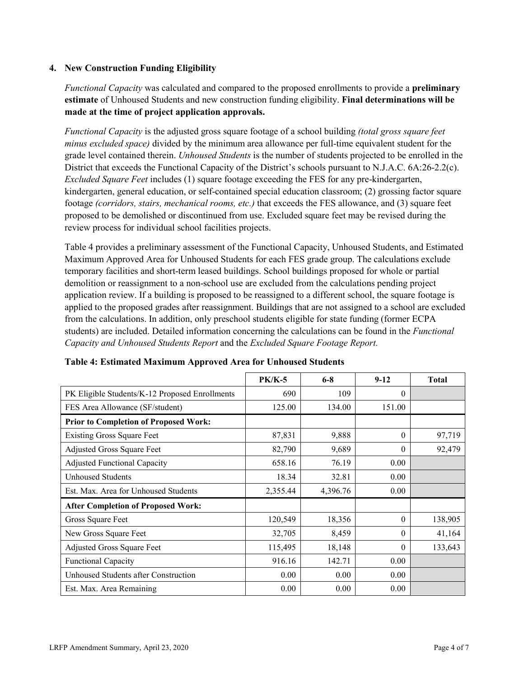#### **4. New Construction Funding Eligibility**

*Functional Capacity* was calculated and compared to the proposed enrollments to provide a **preliminary estimate** of Unhoused Students and new construction funding eligibility. **Final determinations will be made at the time of project application approvals.**

*Functional Capacity* is the adjusted gross square footage of a school building *(total gross square feet minus excluded space)* divided by the minimum area allowance per full-time equivalent student for the grade level contained therein. *Unhoused Students* is the number of students projected to be enrolled in the District that exceeds the Functional Capacity of the District's schools pursuant to N.J.A.C. 6A:26-2.2(c). *Excluded Square Feet* includes (1) square footage exceeding the FES for any pre-kindergarten, kindergarten, general education, or self-contained special education classroom; (2) grossing factor square footage *(corridors, stairs, mechanical rooms, etc.)* that exceeds the FES allowance, and (3) square feet proposed to be demolished or discontinued from use. Excluded square feet may be revised during the review process for individual school facilities projects.

Table 4 provides a preliminary assessment of the Functional Capacity, Unhoused Students, and Estimated Maximum Approved Area for Unhoused Students for each FES grade group. The calculations exclude temporary facilities and short-term leased buildings. School buildings proposed for whole or partial demolition or reassignment to a non-school use are excluded from the calculations pending project application review. If a building is proposed to be reassigned to a different school, the square footage is applied to the proposed grades after reassignment. Buildings that are not assigned to a school are excluded from the calculations. In addition, only preschool students eligible for state funding (former ECPA students) are included. Detailed information concerning the calculations can be found in the *Functional Capacity and Unhoused Students Report* and the *Excluded Square Footage Report.*

|                                                | <b>PK/K-5</b> | $6 - 8$  | $9 - 12$ | <b>Total</b> |
|------------------------------------------------|---------------|----------|----------|--------------|
| PK Eligible Students/K-12 Proposed Enrollments | 690           | 109      | $\theta$ |              |
| FES Area Allowance (SF/student)                | 125.00        | 134.00   | 151.00   |              |
| <b>Prior to Completion of Proposed Work:</b>   |               |          |          |              |
| <b>Existing Gross Square Feet</b>              | 87,831        | 9,888    | $\theta$ | 97,719       |
| Adjusted Gross Square Feet                     | 82,790        | 9,689    | $\theta$ | 92,479       |
| <b>Adjusted Functional Capacity</b>            | 658.16        | 76.19    | 0.00     |              |
| <b>Unhoused Students</b>                       | 18.34         | 32.81    | 0.00     |              |
| Est. Max. Area for Unhoused Students           | 2,355.44      | 4,396.76 | 0.00     |              |
| <b>After Completion of Proposed Work:</b>      |               |          |          |              |
| Gross Square Feet                              | 120,549       | 18,356   | $\theta$ | 138,905      |
| New Gross Square Feet                          | 32,705        | 8,459    | $\Omega$ | 41,164       |
| Adjusted Gross Square Feet                     | 115,495       | 18,148   | $\Omega$ | 133,643      |
| <b>Functional Capacity</b>                     | 916.16        | 142.71   | 0.00     |              |
| Unhoused Students after Construction           | 0.00          | 0.00     | 0.00     |              |
| Est. Max. Area Remaining                       | 0.00          | 0.00     | 0.00     |              |

**Table 4: Estimated Maximum Approved Area for Unhoused Students**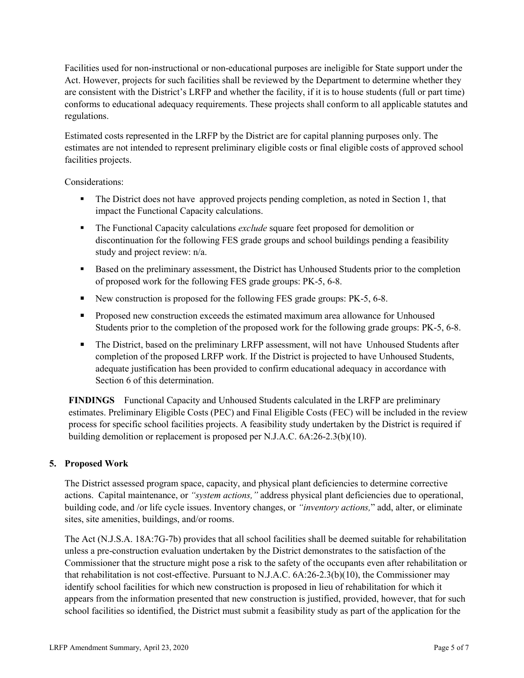Facilities used for non-instructional or non-educational purposes are ineligible for State support under the Act. However, projects for such facilities shall be reviewed by the Department to determine whether they are consistent with the District's LRFP and whether the facility, if it is to house students (full or part time) conforms to educational adequacy requirements. These projects shall conform to all applicable statutes and regulations.

Estimated costs represented in the LRFP by the District are for capital planning purposes only. The estimates are not intended to represent preliminary eligible costs or final eligible costs of approved school facilities projects.

Considerations:

- The District does not have approved projects pending completion, as noted in Section 1, that impact the Functional Capacity calculations.
- The Functional Capacity calculations *exclude* square feet proposed for demolition or discontinuation for the following FES grade groups and school buildings pending a feasibility study and project review: n/a.
- Based on the preliminary assessment, the District has Unhoused Students prior to the completion of proposed work for the following FES grade groups: PK-5, 6-8.
- New construction is proposed for the following FES grade groups: PK-5, 6-8.
- **Proposed new construction exceeds the estimated maximum area allowance for Unhoused** Students prior to the completion of the proposed work for the following grade groups: PK-5, 6-8.
- The District, based on the preliminary LRFP assessment, will not have Unhoused Students after completion of the proposed LRFP work. If the District is projected to have Unhoused Students, adequate justification has been provided to confirm educational adequacy in accordance with Section 6 of this determination.

**FINDINGS** Functional Capacity and Unhoused Students calculated in the LRFP are preliminary estimates. Preliminary Eligible Costs (PEC) and Final Eligible Costs (FEC) will be included in the review process for specific school facilities projects. A feasibility study undertaken by the District is required if building demolition or replacement is proposed per N.J.A.C. 6A:26-2.3(b)(10).

# **5. Proposed Work**

The District assessed program space, capacity, and physical plant deficiencies to determine corrective actions. Capital maintenance, or *"system actions,"* address physical plant deficiencies due to operational, building code, and /or life cycle issues. Inventory changes, or *"inventory actions,*" add, alter, or eliminate sites, site amenities, buildings, and/or rooms.

The Act (N.J.S.A. 18A:7G-7b) provides that all school facilities shall be deemed suitable for rehabilitation unless a pre-construction evaluation undertaken by the District demonstrates to the satisfaction of the Commissioner that the structure might pose a risk to the safety of the occupants even after rehabilitation or that rehabilitation is not cost-effective. Pursuant to N.J.A.C. 6A:26-2.3(b)(10), the Commissioner may identify school facilities for which new construction is proposed in lieu of rehabilitation for which it appears from the information presented that new construction is justified, provided, however, that for such school facilities so identified, the District must submit a feasibility study as part of the application for the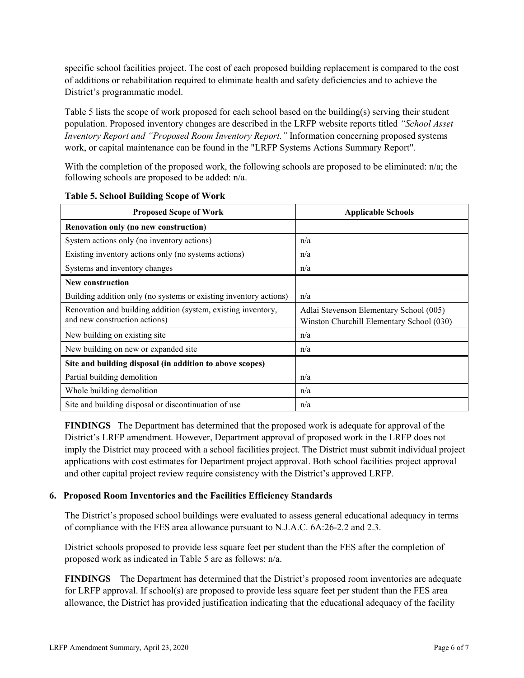specific school facilities project. The cost of each proposed building replacement is compared to the cost of additions or rehabilitation required to eliminate health and safety deficiencies and to achieve the District's programmatic model.

Table 5 lists the scope of work proposed for each school based on the building(s) serving their student population. Proposed inventory changes are described in the LRFP website reports titled *"School Asset Inventory Report and "Proposed Room Inventory Report."* Information concerning proposed systems work, or capital maintenance can be found in the "LRFP Systems Actions Summary Report".

With the completion of the proposed work, the following schools are proposed to be eliminated: n/a; the following schools are proposed to be added: n/a.

| <b>Proposed Scope of Work</b>                                                                  | <b>Applicable Schools</b>                                                            |  |  |
|------------------------------------------------------------------------------------------------|--------------------------------------------------------------------------------------|--|--|
| Renovation only (no new construction)                                                          |                                                                                      |  |  |
| System actions only (no inventory actions)                                                     | n/a                                                                                  |  |  |
| Existing inventory actions only (no systems actions)                                           | n/a                                                                                  |  |  |
| Systems and inventory changes                                                                  | n/a                                                                                  |  |  |
| <b>New construction</b>                                                                        |                                                                                      |  |  |
| Building addition only (no systems or existing inventory actions)                              | n/a                                                                                  |  |  |
| Renovation and building addition (system, existing inventory,<br>and new construction actions) | Adlai Stevenson Elementary School (005)<br>Winston Churchill Elementary School (030) |  |  |
| New building on existing site.                                                                 | n/a                                                                                  |  |  |
| New building on new or expanded site                                                           | n/a                                                                                  |  |  |
| Site and building disposal (in addition to above scopes)                                       |                                                                                      |  |  |
| Partial building demolition                                                                    | n/a                                                                                  |  |  |
| Whole building demolition                                                                      | n/a                                                                                  |  |  |
| Site and building disposal or discontinuation of use                                           | n/a                                                                                  |  |  |

**Table 5. School Building Scope of Work**

**FINDINGS** The Department has determined that the proposed work is adequate for approval of the District's LRFP amendment. However, Department approval of proposed work in the LRFP does not imply the District may proceed with a school facilities project. The District must submit individual project applications with cost estimates for Department project approval. Both school facilities project approval and other capital project review require consistency with the District's approved LRFP.

#### **6. Proposed Room Inventories and the Facilities Efficiency Standards**

The District's proposed school buildings were evaluated to assess general educational adequacy in terms of compliance with the FES area allowance pursuant to N.J.A.C. 6A:26-2.2 and 2.3.

District schools proposed to provide less square feet per student than the FES after the completion of proposed work as indicated in Table 5 are as follows: n/a.

**FINDINGS** The Department has determined that the District's proposed room inventories are adequate for LRFP approval. If school(s) are proposed to provide less square feet per student than the FES area allowance, the District has provided justification indicating that the educational adequacy of the facility